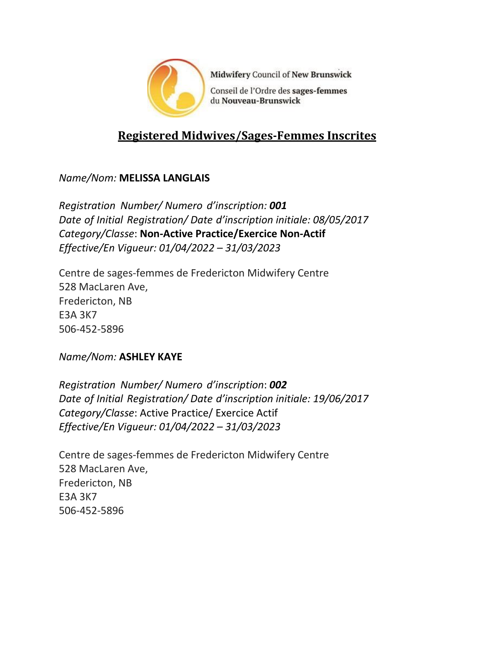

Midwifery Council of New Brunswick

Conseil de l'Ordre des sages-femmes du Nouveau-Brunswick

# **Registered Midwives/Sages-Femmes Inscrites**

## *Name/Nom:* **MELISSA LANGLAIS**

*Registration Number/ Numero d'inscription: 001 Date of Initial Registration/ Date d'inscription initiale: 08/05/2017 Category/Classe*: **Non-Active Practice/Exercice Non-Actif** *Effective/En Vigueur: 01/04/2022 – 31/03/2023*

Centre de sages-femmes de Fredericton Midwifery Centre 528 MacLaren Ave, Fredericton, NB E3A 3K7 506-452-5896

### *Name/Nom:* **ASHLEY KAYE**

*Registration Number/ Numero d'inscription*: *002 Date of Initial Registration/ Date d'inscription initiale: 19/06/2017 Category/Classe*: Active Practice/ Exercice Actif *Effective/En Vigueur: 01/04/2022 – 31/03/2023*

Centre de sages-femmes de Fredericton Midwifery Centre 528 MacLaren Ave, Fredericton, NB E3A 3K7 506-452-5896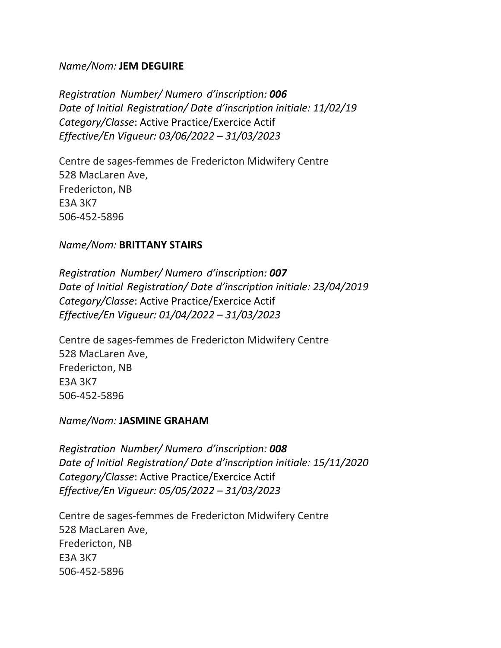#### *Name/Nom:* **JEM DEGUIRE**

*Registration Number/ Numero d'inscription: 006 Date of Initial Registration/ Date d'inscription initiale: 11/02/19 Category/Classe*: Active Practice/Exercice Actif *Effective/En Vigueur: 03/06/2022 – 31/03/2023*

Centre de sages-femmes de Fredericton Midwifery Centre 528 MacLaren Ave, Fredericton, NB E3A 3K7 506-452-5896

#### *Name/Nom:* **BRITTANY STAIRS**

*Registration Number/ Numero d'inscription: 007 Date of Initial Registration/ Date d'inscription initiale: 23/04/2019 Category/Classe*: Active Practice/Exercice Actif *Effective/En Vigueur: 01/04/2022 – 31/03/2023*

Centre de sages-femmes de Fredericton Midwifery Centre 528 MacLaren Ave, Fredericton, NB E3A 3K7 506-452-5896

#### *Name/Nom:* **JASMINE GRAHAM**

*Registration Number/ Numero d'inscription: 008 Date of Initial Registration/ Date d'inscription initiale: 15/11/2020 Category/Classe*: Active Practice/Exercice Actif *Effective/En Vigueur: 05/05/2022 – 31/03/2023*

Centre de sages-femmes de Fredericton Midwifery Centre 528 MacLaren Ave, Fredericton, NB E3A 3K7 506-452-5896